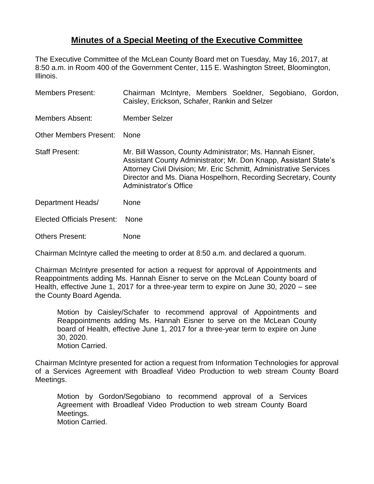## **Minutes of a Special Meeting of the Executive Committee**

The Executive Committee of the McLean County Board met on Tuesday, May 16, 2017, at 8:50 a.m. in Room 400 of the Government Center, 115 E. Washington Street, Bloomington, Illinois.

| <b>Members Present:</b>           | Chairman McIntyre, Members Soeldner, Segobiano, Gordon,<br>Caisley, Erickson, Schafer, Rankin and Selzer                                                                                                                                                                                               |
|-----------------------------------|--------------------------------------------------------------------------------------------------------------------------------------------------------------------------------------------------------------------------------------------------------------------------------------------------------|
| <b>Members Absent:</b>            | <b>Member Selzer</b>                                                                                                                                                                                                                                                                                   |
| <b>Other Members Present:</b>     | <b>None</b>                                                                                                                                                                                                                                                                                            |
| <b>Staff Present:</b>             | Mr. Bill Wasson, County Administrator; Ms. Hannah Eisner,<br>Assistant County Administrator; Mr. Don Knapp, Assistant State's<br>Attorney Civil Division; Mr. Eric Schmitt, Administrative Services<br>Director and Ms. Diana Hospelhorn, Recording Secretary, County<br><b>Administrator's Office</b> |
| Department Heads/                 | None                                                                                                                                                                                                                                                                                                   |
| <b>Elected Officials Present:</b> | <b>None</b>                                                                                                                                                                                                                                                                                            |
| <b>Others Present:</b>            | None                                                                                                                                                                                                                                                                                                   |

Chairman McIntyre called the meeting to order at 8:50 a.m. and declared a quorum.

Chairman McIntyre presented for action a request for approval of Appointments and Reappointments adding Ms. Hannah Eisner to serve on the McLean County board of Health, effective June 1, 2017 for a three-year term to expire on June 30, 2020 – see the County Board Agenda.

Motion by Caisley/Schafer to recommend approval of Appointments and Reappointments adding Ms. Hannah Eisner to serve on the McLean County board of Health, effective June 1, 2017 for a three-year term to expire on June 30, 2020. Motion Carried.

Chairman McIntyre presented for action a request from Information Technologies for approval of a Services Agreement with Broadleaf Video Production to web stream County Board Meetings.

Motion by Gordon/Segobiano to recommend approval of a Services Agreement with Broadleaf Video Production to web stream County Board Meetings. Motion Carried.